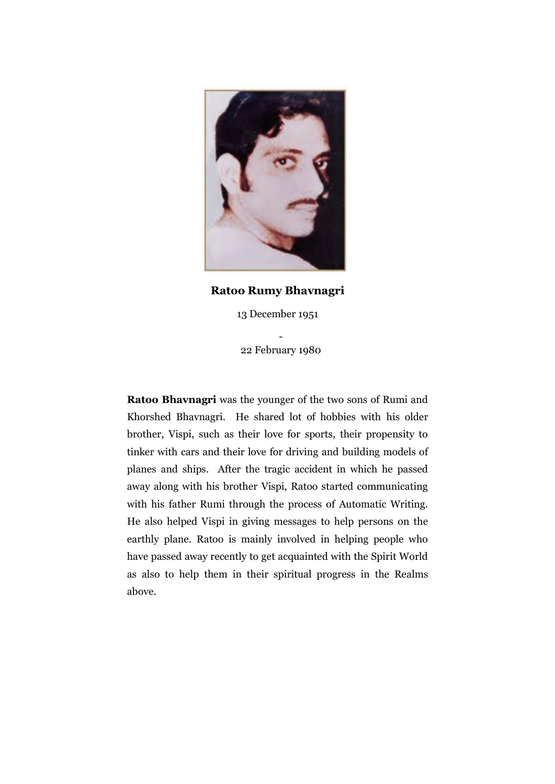

**Ratoo Rumy Bhavnagri**

13 December 1951

- 22 February 1980

**Ratoo Bhavnagri** was the younger of the two sons of Rumi and Khorshed Bhavnagri. He shared lot of hobbies with his older brother, Vispi, such as their love for sports, their propensity to tinker with cars and their love for driving and building models of planes and ships. After the tragic accident in which he passed away along with his brother Vispi, Ratoo started communicating with his father Rumi through the process of Automatic Writing. He also helped Vispi in giving messages to help persons on the earthly plane. Ratoo is mainly involved in helping people who have passed away recently to get acquainted with the Spirit World as also to help them in their spiritual progress in the Realms above.